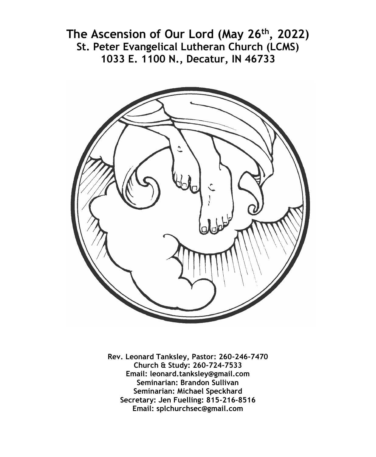**The Ascension of Our Lord (May 26th, 2022) St. Peter Evangelical Lutheran Church (LCMS) 1033 E. 1100 N., Decatur, IN 46733**



**Rev. Leonard Tanksley, Pastor: 260-246-7470 Church & Study: 260-724-7533 Email: leonard.tanksley@gmail.com Seminarian: Brandon Sullivan Seminarian: Michael Speckhard Secretary: Jen Fuelling: 815-216-8516 Email: splchurchsec@gmail.com**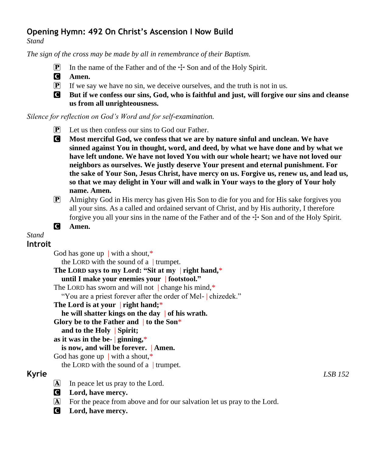# **Opening Hymn: 492 On Christ's Ascension I Now Build**

*Stand*

*The sign of the cross may be made by all in remembrance of their Baptism.*

- **P** In the name of the Father and of the  $\pm$  Son and of the Holy Spirit.
- C **Amen.**
- $\mathbf{P}$  If we say we have no sin, we deceive ourselves, and the truth is not in us.
- C **But if we confess our sins, God, who is faithful and just, will forgive our sins and cleanse us from all unrighteousness.**

#### *Silence for reflection on God's Word and for self-examination.*

- P Let us then confess our sins to God our Father.
- C **Most merciful God, we confess that we are by nature sinful and unclean. We have sinned against You in thought, word, and deed, by what we have done and by what we have left undone. We have not loved You with our whole heart; we have not loved our neighbors as ourselves. We justly deserve Your present and eternal punishment. For the sake of Your Son, Jesus Christ, have mercy on us. Forgive us, renew us, and lead us, so that we may delight in Your will and walk in Your ways to the glory of Your holy name. Amen.**
- P Almighty God in His mercy has given His Son to die for you and for His sake forgives you all your sins. As a called and ordained servant of Christ, and by His authority, I therefore forgive you all your sins in the name of the Father and of the  $\pm$  Son and of the Holy Spirit.
- C **Amen.**

# *Stand*

# **Introit**

God has gone up | with a shout, $*$ the LORD with the sound of a  $|$  trumpet. **The LORD says to my Lord: "Sit at my** | **right hand,**\* **until I make your enemies your** | **footstool."** The LORD has sworn and will not | change his mind.\* "You are a priest forever after the order of Mel- | chizedek." **The Lord is at your** | **right hand;**\* **he will shatter kings on the day** | **of his wrath. Glory be to the Father and** | **to the Son**\* **and to the Holy** | **Spirit; as it was in the be-** | **ginning,**\* **is now, and will be forever.** | **Amen.** God has gone up | with a shout,\* the LORD with the sound of a | trumpet. **Kyrie** *LSB 152*

- $[A]$  In peace let us pray to the Lord.
- C **Lord, have mercy.**
- A For the peace from above and for our salvation let us pray to the Lord.
- C **Lord, have mercy.**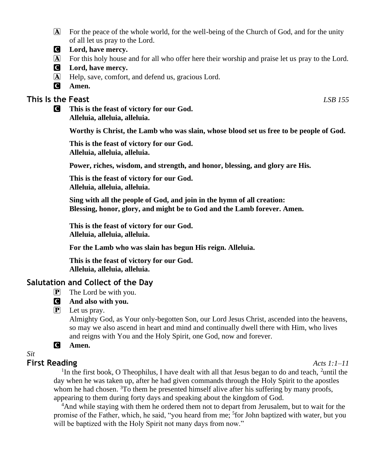- A For the peace of the whole world, for the well-being of the Church of God, and for the unity of all let us pray to the Lord.
- C **Lord, have mercy.**
- A For this holy house and for all who offer here their worship and praise let us pray to the Lord.
- C **Lord, have mercy.**
- A Help, save, comfort, and defend us, gracious Lord.
- C **Amen.**

## **This Is the Feast** *LSB 155*

C **This is the feast of victory for our God. Alleluia, alleluia, alleluia.**

**Worthy is Christ, the Lamb who was slain, whose blood set us free to be people of God.**

**This is the feast of victory for our God. Alleluia, alleluia, alleluia.**

**Power, riches, wisdom, and strength, and honor, blessing, and glory are His.**

**This is the feast of victory for our God. Alleluia, alleluia, alleluia.**

**Sing with all the people of God, and join in the hymn of all creation: Blessing, honor, glory, and might be to God and the Lamb forever. Amen.**

**This is the feast of victory for our God. Alleluia, alleluia, alleluia.**

**For the Lamb who was slain has begun His reign. Alleluia.**

**This is the feast of victory for our God. Alleluia, alleluia, alleluia.**

### **Salutation and Collect of the Day**

- $\overline{P}$  The Lord be with you.
- C **And also with you.**
- $\mathbf{P}$  Let us pray.

Almighty God, as Your only-begotten Son, our Lord Jesus Christ, ascended into the heavens, so may we also ascend in heart and mind and continually dwell there with Him, who lives and reigns with You and the Holy Spirit, one God, now and forever.

#### C **Amen.**

*Sit*

### **First Reading** *Acts 1:1–11*

<sup>1</sup>In the first book, O Theophilus, I have dealt with all that Jesus began to do and teach, <sup>2</sup>until the day when he was taken up, after he had given commands through the Holy Spirit to the apostles whom he had chosen.  ${}^{3}$ To them he presented himself alive after his suffering by many proofs, appearing to them during forty days and speaking about the kingdom of God.

<sup>4</sup>And while staying with them he ordered them not to depart from Jerusalem, but to wait for the promise of the Father, which, he said, "you heard from me; <sup>5</sup>for John baptized with water, but you will be baptized with the Holy Spirit not many days from now."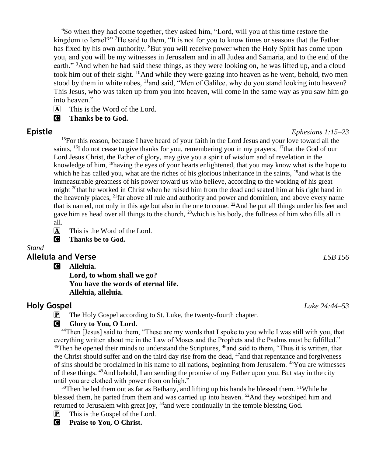<sup>6</sup>So when they had come together, they asked him, "Lord, will you at this time restore the kingdom to Israel?" <sup>7</sup>He said to them, "It is not for you to know times or seasons that the Father has fixed by his own authority. <sup>8</sup>But you will receive power when the Holy Spirit has come upon you, and you will be my witnesses in Jerusalem and in all Judea and Samaria, and to the end of the earth." <sup>9</sup>And when he had said these things, as they were looking on, he was lifted up, and a cloud took him out of their sight. <sup>10</sup>And while they were gazing into heaven as he went, behold, two men stood by them in white robes, <sup>11</sup>and said, "Men of Galilee, why do you stand looking into heaven? This Jesus, who was taken up from you into heaven, will come in the same way as you saw him go into heaven."

 $\overline{A}$  This is the Word of the Lord.

C **Thanks be to God.**

<sup>15</sup>For this reason, because I have heard of your faith in the Lord Jesus and your love toward all the saints, <sup>16</sup>I do not cease to give thanks for you, remembering you in my prayers, <sup>17</sup>that the God of our Lord Jesus Christ, the Father of glory, may give you a spirit of wisdom and of revelation in the knowledge of him, <sup>18</sup>having the eyes of your hearts enlightened, that you may know what is the hope to which he has called you, what are the riches of his glorious inheritance in the saints,  $19$ and what is the immeasurable greatness of his power toward us who believe, according to the working of his great might <sup>20</sup>that he worked in Christ when he raised him from the dead and seated him at his right hand in the heavenly places,  $^{21}$  far above all rule and authority and power and dominion, and above every name that is named, not only in this age but also in the one to come.  $^{22}$ And he put all things under his feet and gave him as head over all things to the church,  $^{23}$ which is his body, the fullness of him who fills all in all.

 $\overline{A}$  This is the Word of the Lord.



#### *Stand* **Alleluia and Verse** *LSB 156*

C **Alleluia.**

**Lord, to whom shall we go? You have the words of eternal life. Alleluia, alleluia.**

# **Holy Gospel** *Luke 24:44–53*

P The Holy Gospel according to St. Luke, the twenty-fourth chapter.

#### **G** Glory to You, O Lord.

<sup>44</sup>Then [Jesus] said to them, "These are my words that I spoke to you while I was still with you, that everything written about me in the Law of Moses and the Prophets and the Psalms must be fulfilled."  $45$ Then he opened their minds to understand the Scriptures,  $46$  and said to them, "Thus it is written, that the Christ should suffer and on the third day rise from the dead, <sup>47</sup> and that repentance and forgiveness of sins should be proclaimed in his name to all nations, beginning from Jerusalem. <sup>48</sup>You are witnesses of these things. <sup>49</sup>And behold, I am sending the promise of my Father upon you. But stay in the city until you are clothed with power from on high."

<sup>50</sup>Then he led them out as far as Bethany, and lifting up his hands he blessed them. <sup>51</sup>While he blessed them, he parted from them and was carried up into heaven.  $52$ And they worshiped him and returned to Jerusalem with great joy, <sup>53</sup>and were continually in the temple blessing God.

 $\boxed{\mathbf{P}}$  This is the Gospel of the Lord.

C **Praise to You, O Christ.**

**Epistle** *Ephesians 1:15–23*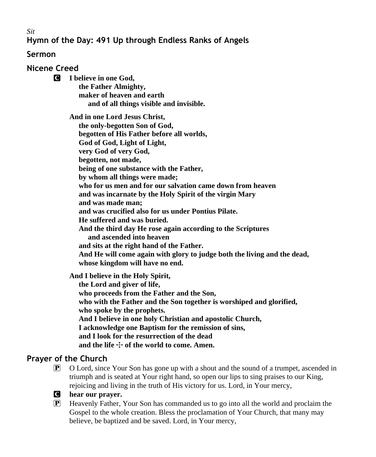*Sit*

# **Hymn of the Day: 491 Up through Endless Ranks of Angels**

## **Sermon**

**Nicene Creed**

C **I believe in one God, the Father Almighty, maker of heaven and earth and of all things visible and invisible.**

> **And in one Lord Jesus Christ, the only-begotten Son of God, begotten of His Father before all worlds, God of God, Light of Light, very God of very God, begotten, not made, being of one substance with the Father, by whom all things were made; who for us men and for our salvation came down from heaven and was incarnate by the Holy Spirit of the virgin Mary and was made man; and was crucified also for us under Pontius Pilate. He suffered and was buried. And the third day He rose again according to the Scriptures and ascended into heaven and sits at the right hand of the Father. And He will come again with glory to judge both the living and the dead, whose kingdom will have no end.**

**And I believe in the Holy Spirit,**

 **the Lord and giver of life, who proceeds from the Father and the Son, who with the Father and the Son together is worshiped and glorified, who spoke by the prophets. And I believe in one holy Christian and apostolic Church, I acknowledge one Baptism for the remission of sins, and I look for the resurrection of the dead** and the life  $\div$  of the world to come. Amen.

# **Prayer of the Church**

- $\boxed{\mathbb{P}}$  O Lord, since Your Son has gone up with a shout and the sound of a trumpet, ascended in triumph and is seated at Your right hand, so open our lips to sing praises to our King, rejoicing and living in the truth of His victory for us. Lord, in Your mercy,
- C **hear our prayer.**
- P Heavenly Father, Your Son has commanded us to go into all the world and proclaim the Gospel to the whole creation. Bless the proclamation of Your Church, that many may believe, be baptized and be saved. Lord, in Your mercy,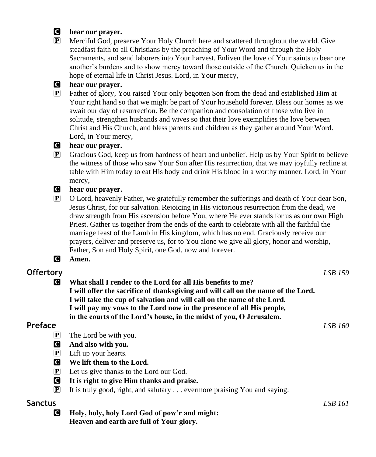#### C **hear our prayer.**



P Merciful God, preserve Your Holy Church here and scattered throughout the world. Give steadfast faith to all Christians by the preaching of Your Word and through the Holy Sacraments, and send laborers into Your harvest. Enliven the love of Your saints to bear one another's burdens and to show mercy toward those outside of the Church. Quicken us in the hope of eternal life in Christ Jesus. Lord, in Your mercy,

#### C **hear our prayer.**

P Father of glory, You raised Your only begotten Son from the dead and established Him at Your right hand so that we might be part of Your household forever. Bless our homes as we await our day of resurrection. Be the companion and consolation of those who live in solitude, strengthen husbands and wives so that their love exemplifies the love between Christ and His Church, and bless parents and children as they gather around Your Word. Lord, in Your mercy,

# C **hear our prayer.**

P Gracious God, keep us from hardness of heart and unbelief. Help us by Your Spirit to believe the witness of those who saw Your Son after His resurrection, that we may joyfully recline at table with Him today to eat His body and drink His blood in a worthy manner. Lord, in Your mercy,

#### C **hear our prayer.**

P O Lord, heavenly Father, we gratefully remember the sufferings and death of Your dear Son, Jesus Christ, for our salvation. Rejoicing in His victorious resurrection from the dead, we draw strength from His ascension before You, where He ever stands for us as our own High Priest. Gather us together from the ends of the earth to celebrate with all the faithful the marriage feast of the Lamb in His kingdom, which has no end. Graciously receive our prayers, deliver and preserve us, for to You alone we give all glory, honor and worship, Father, Son and Holy Spirit, one God, now and forever.

### C **Amen.**

# **Offertory** *LSB 159*

**C** What shall I render to the Lord for all His benefits to me? **I will offer the sacrifice of thanksgiving and will call on the name of the Lord. I will take the cup of salvation and will call on the name of the Lord. I will pay my vows to the Lord now in the presence of all His people, in the courts of the Lord's house, in the midst of you, O Jerusalem.**

# **Preface** *LSB 160*

- P The Lord be with you.
- C **And also with you.**
- $\left| \mathbf{P} \right|$  Lift up your hearts.
- C **We lift them to the Lord.**
- P Let us give thanks to the Lord our God.
- C **It is right to give Him thanks and praise.**
- $\boxed{\mathbf{P}}$  It is truly good, right, and salutary ... evermore praising You and saying:

## **Sanctus** *LSB 161*

C **Holy, holy, holy Lord God of pow'r and might: Heaven and earth are full of Your glory.**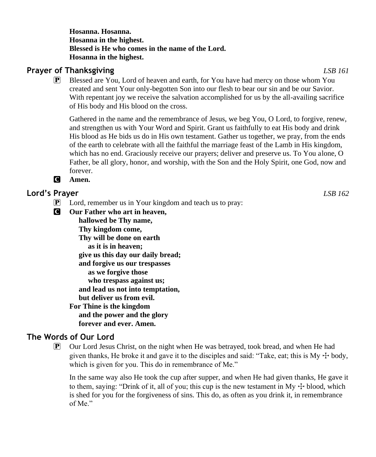**Hosanna. Hosanna. Hosanna in the highest. Blessed is He who comes in the name of the Lord. Hosanna in the highest.**

# **Prayer of Thanksgiving** *LSB 161*

P Blessed are You, Lord of heaven and earth, for You have had mercy on those whom You created and sent Your only-begotten Son into our flesh to bear our sin and be our Savior. With repentant joy we receive the salvation accomplished for us by the all-availing sacrifice of His body and His blood on the cross.

Gathered in the name and the remembrance of Jesus, we beg You, O Lord, to forgive, renew, and strengthen us with Your Word and Spirit. Grant us faithfully to eat His body and drink His blood as He bids us do in His own testament. Gather us together, we pray, from the ends of the earth to celebrate with all the faithful the marriage feast of the Lamb in His kingdom, which has no end. Graciously receive our prayers; deliver and preserve us. To You alone, O Father, be all glory, honor, and worship, with the Son and the Holy Spirit, one God, now and forever.

C **Amen.**

# **Lord's Prayer** *LSB 162*

- $\mathbf{P}$  Lord, remember us in Your kingdom and teach us to pray:
- C **Our Father who art in heaven, hallowed be Thy name, Thy kingdom come, Thy will be done on earth as it is in heaven; give us this day our daily bread; and forgive us our trespasses as we forgive those who trespass against us; and lead us not into temptation, but deliver us from evil.**
	- **For Thine is the kingdom and the power and the glory forever and ever. Amen.**

# **The Words of Our Lord**

 $\mathbb{P}$  Our Lord Jesus Christ, on the night when He was betrayed, took bread, and when He had given thanks, He broke it and gave it to the disciples and said: "Take, eat; this is  $My + body$ , which is given for you. This do in remembrance of Me."

In the same way also He took the cup after supper, and when He had given thanks, He gave it to them, saying: "Drink of it, all of you; this cup is the new testament in My  $\pm$  blood, which is shed for you for the forgiveness of sins. This do, as often as you drink it, in remembrance of Me."